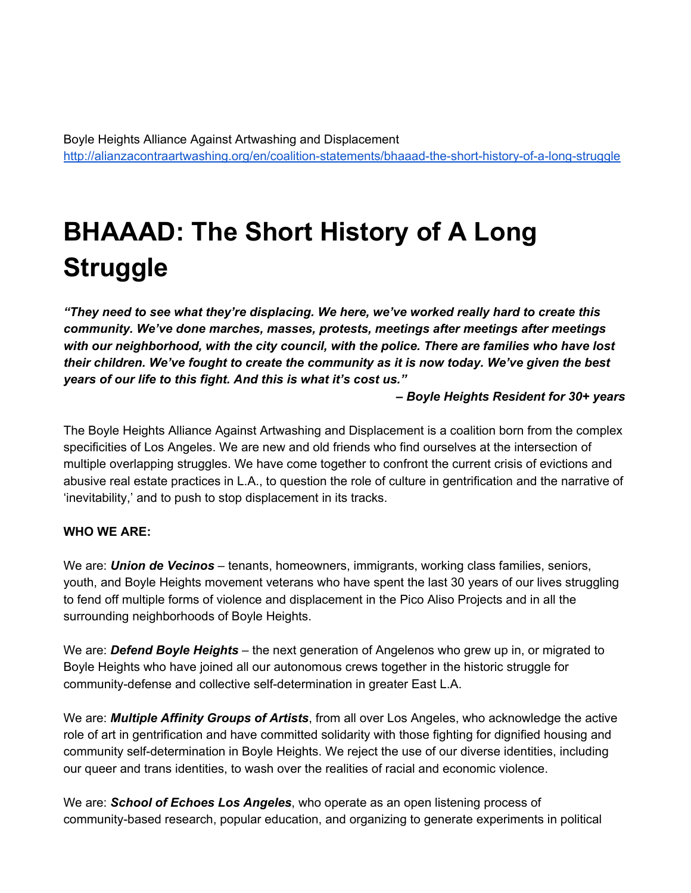Boyle Heights Alliance Against Artwashing and Displacement [http://alianzacontraartwashing.org/en/coalition-statements/bhaaad-the-short-history-of-a-long-struggle](http://alianzacontraartwashing.org/en/coalition-statements/bhaaad-the-short-history-of-a-long-struggle/)

# **BHAAAD: The Short History of A Long Struggle**

*"They need to see what they're displacing. We here, we've worked really hard to create this community. We've done marches, masses, protests, meetings after meetings after meetings with our neighborhood, with the city council, with the police. There are families who have lost their children. We've fought to create the community as it is now today. We've given the best years of our life to this fight. And this is what it's cost us."*

*– Boyle Heights Resident for 30+ years*

The Boyle Heights Alliance Against Artwashing and Displacement is a coalition born from the complex specificities of Los Angeles. We are new and old friends who find ourselves at the intersection of multiple overlapping struggles. We have come together to confront the current crisis of evictions and abusive real estate practices in L.A., to question the role of culture in gentrification and the narrative of 'inevitability,' and to push to stop displacement in its tracks.

#### **WHO WE ARE:**

We are: *Union de Vecinos* – tenants, homeowners, immigrants, working class families, seniors, youth, and Boyle Heights movement veterans who have spent the last 30 years of our lives struggling to fend off multiple forms of violence and displacement in the Pico Aliso Projects and in all the surrounding neighborhoods of Boyle Heights.

We are: *Defend Boyle Heights* – the next generation of Angelenos who grew up in, or migrated to Boyle Heights who have joined all our autonomous crews together in the historic struggle for community-defense and collective self-determination in greater East L.A.

We are: *Multiple Affinity Groups of Artists*, from all over Los Angeles, who acknowledge the active role of art in gentrification and have committed solidarity with those fighting for dignified housing and community self-determination in Boyle Heights. We reject the use of our diverse identities, including our queer and trans identities, to wash over the realities of racial and economic violence.

We are: *School of Echoes Los Angeles*, who operate as an open listening process of community-based research, popular education, and organizing to generate experiments in political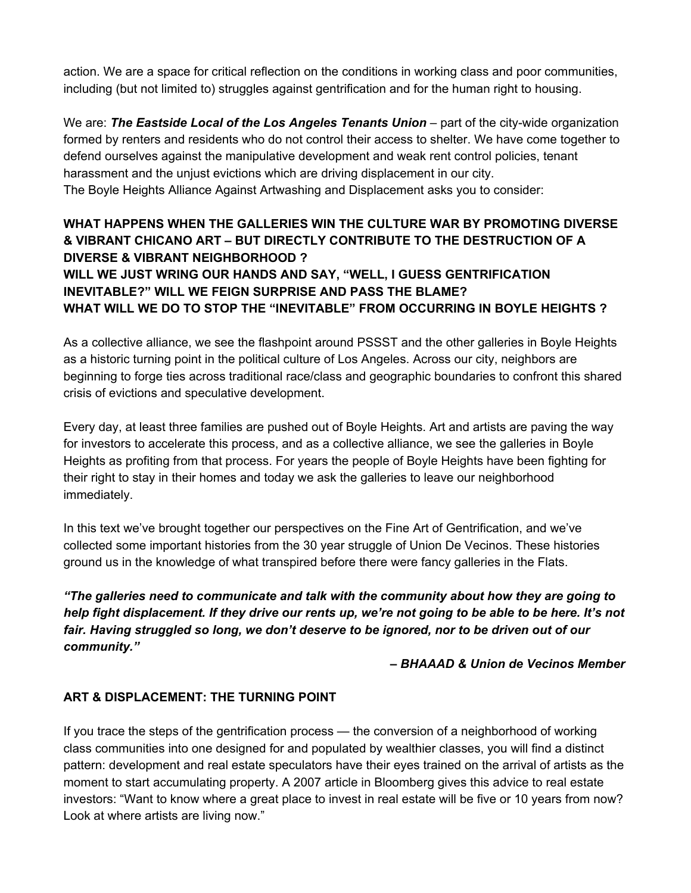action. We are a space for critical reflection on the conditions in working class and poor communities, including (but not limited to) struggles against gentrification and for the human right to housing.

We are: *The Eastside Local of the Los Angeles Tenants Union* – part of the city-wide organization formed by renters and residents who do not control their access to shelter. We have come together to defend ourselves against the manipulative development and weak rent control policies, tenant harassment and the unjust evictions which are driving displacement in our city. The Boyle Heights Alliance Against Artwashing and Displacement asks you to consider:

# **WHAT HAPPENS WHEN THE GALLERIES WIN THE CULTURE WAR BY PROMOTING DIVERSE & VIBRANT CHICANO ART – BUT DIRECTLY CONTRIBUTE TO THE DESTRUCTION OF A DIVERSE & VIBRANT NEIGHBORHOOD ? WILL WE JUST WRING OUR HANDS AND SAY, "WELL, I GUESS GENTRIFICATION INEVITABLE?" WILL WE FEIGN SURPRISE AND PASS THE BLAME? WHAT WILL WE DO TO STOP THE "INEVITABLE" FROM OCCURRING IN BOYLE HEIGHTS ?**

As a collective alliance, we see the flashpoint around PSSST and the other galleries in Boyle Heights as a historic turning point in the political culture of Los Angeles. Across our city, neighbors are beginning to forge ties across traditional race/class and geographic boundaries to confront this shared crisis of evictions and speculative development.

Every day, at least three families are pushed out of Boyle Heights. Art and artists are paving the way for investors to accelerate this process, and as a collective alliance, we see the galleries in Boyle Heights as profiting from that process. For years the people of Boyle Heights have been fighting for their right to stay in their homes and today we ask the galleries to leave our neighborhood immediately.

In this text we've brought together our perspectives on the Fine Art of Gentrification, and we've collected some important histories from the 30 year struggle of Union De Vecinos. These histories ground us in the knowledge of what transpired before there were fancy galleries in the Flats.

*"The galleries need to communicate and talk with the community about how they are going to help fight displacement. If they drive our rents up, we're not going to be able to be here. It's not fair. Having struggled so long, we don't deserve to be ignored, nor to be driven out of our community."*

*– BHAAAD & Union de Vecinos Member*

## **ART & DISPLACEMENT: THE TURNING POINT**

If you trace the steps of the gentrification process — the conversion of a neighborhood of working class communities into one designed for and populated by wealthier classes, you will find a distinct pattern: development and real estate speculators have their eyes trained on the arrival of artists as the moment to start accumulating property. A 2007 article in Bloomberg gives this advice to real estate investors: "Want to know where a great place to invest in real estate will be five or 10 years from now? Look at where artists are living now."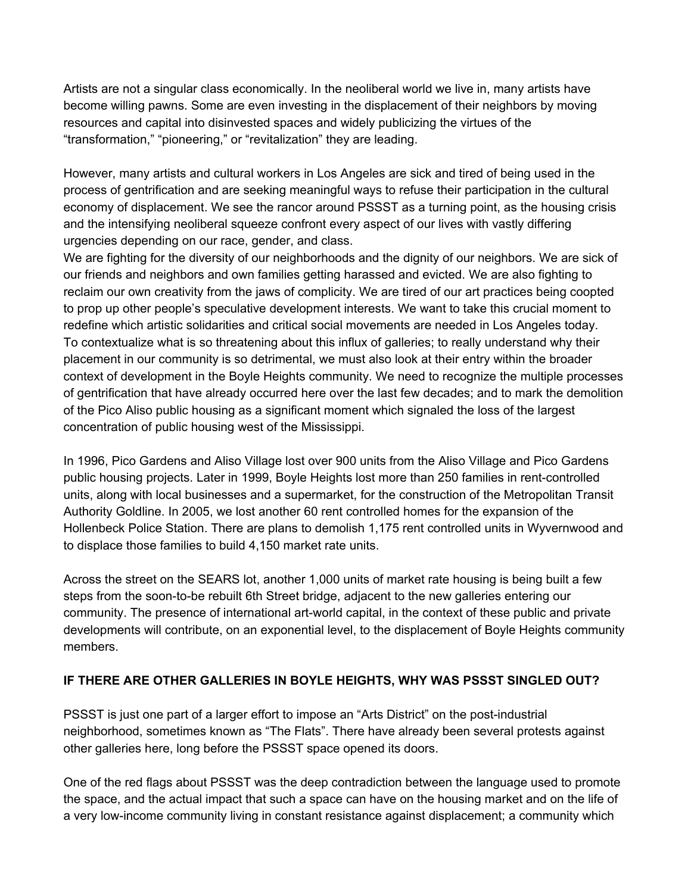Artists are not a singular class economically. In the neoliberal world we live in, many artists have become willing pawns. Some are even investing in the displacement of their neighbors by moving resources and capital into disinvested spaces and widely publicizing the virtues of the "transformation," "pioneering," or "revitalization" they are leading.

However, many artists and cultural workers in Los Angeles are sick and tired of being used in the process of gentrification and are seeking meaningful ways to refuse their participation in the cultural economy of displacement. We see the rancor around PSSST as a turning point, as the housing crisis and the intensifying neoliberal squeeze confront every aspect of our lives with vastly differing urgencies depending on our race, gender, and class.

We are fighting for the diversity of our neighborhoods and the dignity of our neighbors. We are sick of our friends and neighbors and own families getting harassed and evicted. We are also fighting to reclaim our own creativity from the jaws of complicity. We are tired of our art practices being coopted to prop up other people's speculative development interests. We want to take this crucial moment to redefine which artistic solidarities and critical social movements are needed in Los Angeles today. To contextualize what is so threatening about this influx of galleries; to really understand why their placement in our community is so detrimental, we must also look at their entry within the broader context of development in the Boyle Heights community. We need to recognize the multiple processes of gentrification that have already occurred here over the last few decades; and to mark the demolition of the Pico Aliso public housing as a significant moment which signaled the loss of the largest concentration of public housing west of the Mississippi.

In 1996, Pico Gardens and Aliso Village lost over 900 units from the Aliso Village and Pico Gardens public housing projects. Later in 1999, Boyle Heights lost more than 250 families in rent-controlled units, along with local businesses and a supermarket, for the construction of the Metropolitan Transit Authority Goldline. In 2005, we lost another 60 rent controlled homes for the expansion of the Hollenbeck Police Station. There are plans to demolish 1,175 rent controlled units in Wyvernwood and to displace those families to build 4,150 market rate units.

Across the street on the SEARS lot, another 1,000 units of market rate housing is being built a few steps from the soon-to-be rebuilt 6th Street bridge, adjacent to the new galleries entering our community. The presence of international art-world capital, in the context of these public and private developments will contribute, on an exponential level, to the displacement of Boyle Heights community members.

## **IF THERE ARE OTHER GALLERIES IN BOYLE HEIGHTS, WHY WAS PSSST SINGLED OUT?**

PSSST is just one part of a larger effort to impose an "Arts District" on the post-industrial neighborhood, sometimes known as "The Flats". There have already been several protests against other galleries here, long before the PSSST space opened its doors.

One of the red flags about PSSST was the deep contradiction between the language used to promote the space, and the actual impact that such a space can have on the housing market and on the life of a very low-income community living in constant resistance against displacement; a community which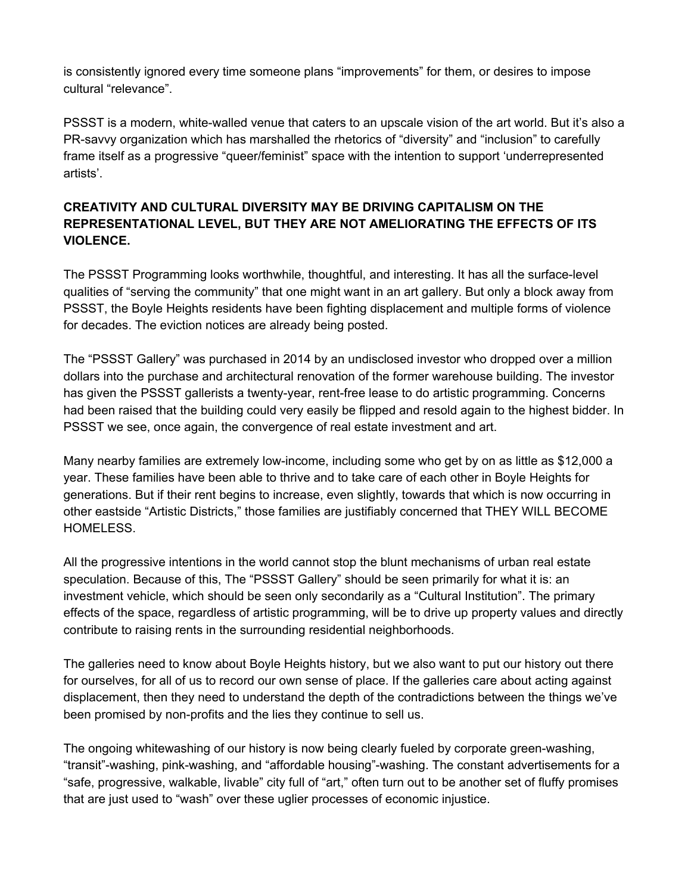is consistently ignored every time someone plans "improvements" for them, or desires to impose cultural "relevance".

PSSST is a modern, white-walled venue that caters to an upscale vision of the art world. But it's also a PR-savvy organization which has marshalled the rhetorics of "diversity" and "inclusion" to carefully frame itself as a progressive "queer/feminist" space with the intention to support 'underrepresented artists'.

# **CREATIVITY AND CULTURAL DIVERSITY MAY BE DRIVING CAPITALISM ON THE REPRESENTATIONAL LEVEL, BUT THEY ARE NOT AMELIORATING THE EFFECTS OF ITS VIOLENCE.**

The PSSST Programming looks worthwhile, thoughtful, and interesting. It has all the surface-level qualities of "serving the community" that one might want in an art gallery. But only a block away from PSSST, the Boyle Heights residents have been fighting displacement and multiple forms of violence for decades. The eviction notices are already being posted.

The "PSSST Gallery" was purchased in 2014 by an undisclosed investor who dropped over a million dollars into the purchase and architectural renovation of the former warehouse building. The investor has given the PSSST gallerists a twenty-year, rent-free lease to do artistic programming. Concerns had been raised that the building could very easily be flipped and resold again to the highest bidder. In PSSST we see, once again, the convergence of real estate investment and art.

Many nearby families are extremely low-income, including some who get by on as little as \$12,000 a year. These families have been able to thrive and to take care of each other in Boyle Heights for generations. But if their rent begins to increase, even slightly, towards that which is now occurring in other eastside "Artistic Districts," those families are justifiably concerned that THEY WILL BECOME HOMELESS.

All the progressive intentions in the world cannot stop the blunt mechanisms of urban real estate speculation. Because of this, The "PSSST Gallery" should be seen primarily for what it is: an investment vehicle, which should be seen only secondarily as a "Cultural Institution". The primary effects of the space, regardless of artistic programming, will be to drive up property values and directly contribute to raising rents in the surrounding residential neighborhoods.

The galleries need to know about Boyle Heights history, but we also want to put our history out there for ourselves, for all of us to record our own sense of place. If the galleries care about acting against displacement, then they need to understand the depth of the contradictions between the things we've been promised by non-profits and the lies they continue to sell us.

The ongoing whitewashing of our history is now being clearly fueled by corporate green-washing, "transit"-washing, pink-washing, and "affordable housing"-washing. The constant advertisements for a "safe, progressive, walkable, livable" city full of "art," often turn out to be another set of fluffy promises that are just used to "wash" over these uglier processes of economic injustice.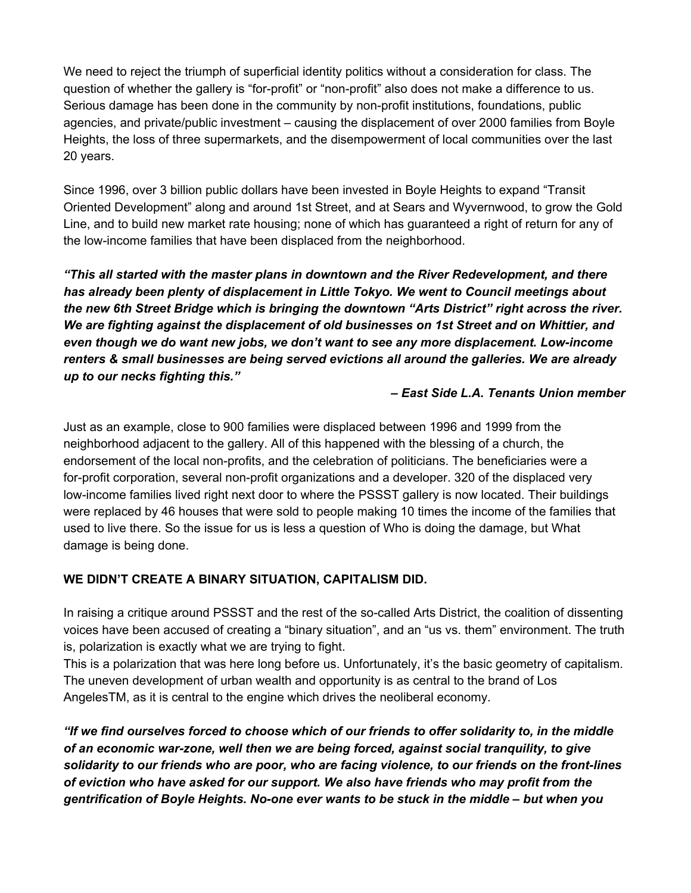We need to reject the triumph of superficial identity politics without a consideration for class. The question of whether the gallery is "for-profit" or "non-profit" also does not make a difference to us. Serious damage has been done in the community by non-profit institutions, foundations, public agencies, and private/public investment – causing the displacement of over 2000 families from Boyle Heights, the loss of three supermarkets, and the disempowerment of local communities over the last 20 years.

Since 1996, over 3 billion public dollars have been invested in Boyle Heights to expand "Transit Oriented Development" along and around 1st Street, and at Sears and Wyvernwood, to grow the Gold Line, and to build new market rate housing; none of which has guaranteed a right of return for any of the low-income families that have been displaced from the neighborhood.

*"This all started with the master plans in downtown and the River Redevelopment, and there has already been plenty of displacement in Little Tokyo. We went to Council meetings about the new 6th Street Bridge which is bringing the downtown "Arts District" right across the river. We are fighting against the displacement of old businesses on 1st Street and on Whittier, and even though we do want new jobs, we don't want to see any more displacement. Low-income renters & small businesses are being served evictions all around the galleries. We are already up to our necks fighting this."*

#### *– East Side L.A. Tenants Union member*

Just as an example, close to 900 families were displaced between 1996 and 1999 from the neighborhood adjacent to the gallery. All of this happened with the blessing of a church, the endorsement of the local non-profits, and the celebration of politicians. The beneficiaries were a for-profit corporation, several non-profit organizations and a developer. 320 of the displaced very low-income families lived right next door to where the PSSST gallery is now located. Their buildings were replaced by 46 houses that were sold to people making 10 times the income of the families that used to live there. So the issue for us is less a question of Who is doing the damage, but What damage is being done.

## **WE DIDN'T CREATE A BINARY SITUATION, CAPITALISM DID.**

In raising a critique around PSSST and the rest of the so-called Arts District, the coalition of dissenting voices have been accused of creating a "binary situation", and an "us vs. them" environment. The truth is, polarization is exactly what we are trying to fight.

This is a polarization that was here long before us. Unfortunately, it's the basic geometry of capitalism. The uneven development of urban wealth and opportunity is as central to the brand of Los AngelesTM, as it is central to the engine which drives the neoliberal economy.

*"If we find ourselves forced to choose which of our friends to offer solidarity to, in the middle of an economic war-zone, well then we are being forced, against social tranquility, to give solidarity to our friends who are poor, who are facing violence, to our friends on the front-lines of eviction who have asked for our support. We also have friends who may profit from the gentrification of Boyle Heights. No-one ever wants to be stuck in the middle – but when you*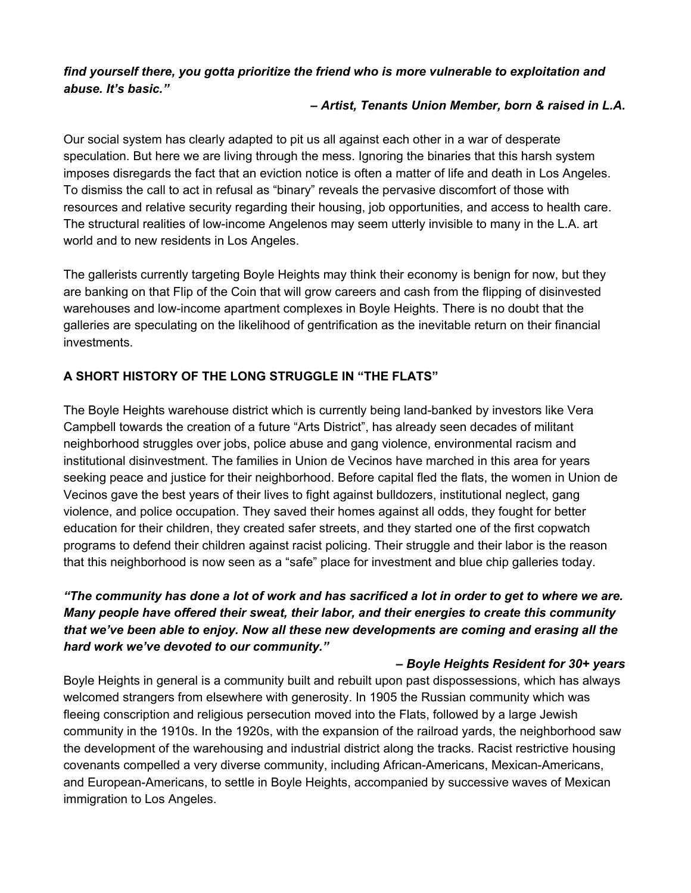*find yourself there, you gotta prioritize the friend who is more vulnerable to exploitation and abuse. It's basic."*

#### *– Artist, Tenants Union Member, born & raised in L.A.*

Our social system has clearly adapted to pit us all against each other in a war of desperate speculation. But here we are living through the mess. Ignoring the binaries that this harsh system imposes disregards the fact that an eviction notice is often a matter of life and death in Los Angeles. To dismiss the call to act in refusal as "binary" reveals the pervasive discomfort of those with resources and relative security regarding their housing, job opportunities, and access to health care. The structural realities of low-income Angelenos may seem utterly invisible to many in the L.A. art world and to new residents in Los Angeles.

The gallerists currently targeting Boyle Heights may think their economy is benign for now, but they are banking on that Flip of the Coin that will grow careers and cash from the flipping of disinvested warehouses and low-income apartment complexes in Boyle Heights. There is no doubt that the galleries are speculating on the likelihood of gentrification as the inevitable return on their financial investments.

# **A SHORT HISTORY OF THE LONG STRUGGLE IN "THE FLATS"**

The Boyle Heights warehouse district which is currently being land-banked by investors like Vera Campbell towards the creation of a future "Arts District", has already seen decades of militant neighborhood struggles over jobs, police abuse and gang violence, environmental racism and institutional disinvestment. The families in Union de Vecinos have marched in this area for years seeking peace and justice for their neighborhood. Before capital fled the flats, the women in Union de Vecinos gave the best years of their lives to fight against bulldozers, institutional neglect, gang violence, and police occupation. They saved their homes against all odds, they fought for better education for their children, they created safer streets, and they started one of the first copwatch programs to defend their children against racist policing. Their struggle and their labor is the reason that this neighborhood is now seen as a "safe" place for investment and blue chip galleries today.

# *"The community has done a lot of work and has sacrificed a lot in order to get to where we are. Many people have offered their sweat, their labor, and their energies to create this community that we've been able to enjoy. Now all these new developments are coming and erasing all the hard work we've devoted to our community."*

## *– Boyle Heights Resident for 30+ years*

Boyle Heights in general is a community built and rebuilt upon past dispossessions, which has always welcomed strangers from elsewhere with generosity. In 1905 the Russian community which was fleeing conscription and religious persecution moved into the Flats, followed by a large Jewish community in the 1910s. In the 1920s, with the expansion of the railroad yards, the neighborhood saw the development of the warehousing and industrial district along the tracks. Racist restrictive housing covenants compelled a very diverse community, including African-Americans, Mexican-Americans, and European-Americans, to settle in Boyle Heights, accompanied by successive waves of Mexican immigration to Los Angeles.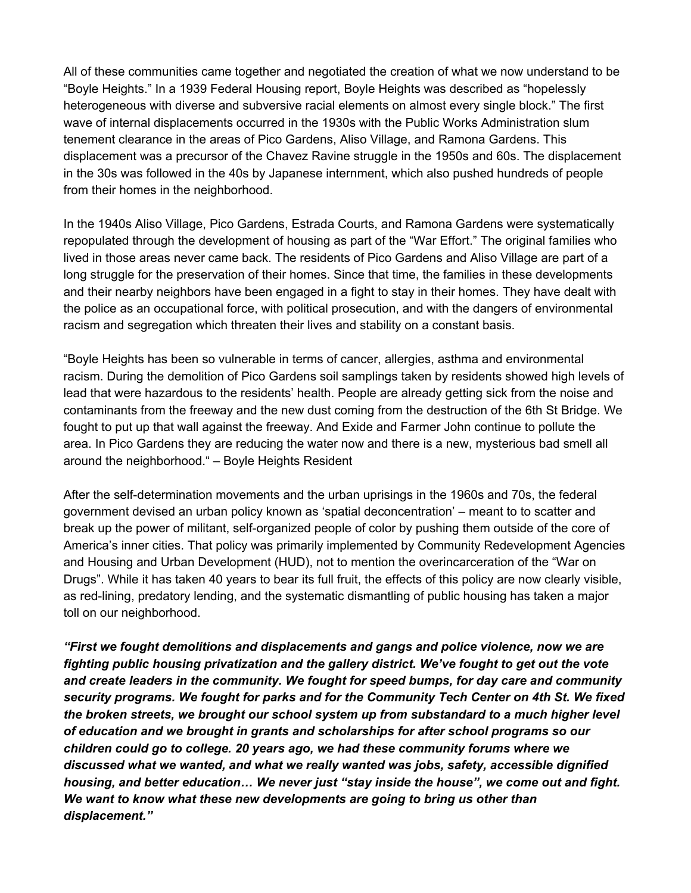All of these communities came together and negotiated the creation of what we now understand to be "Boyle Heights." In a 1939 Federal Housing report, Boyle Heights was described as "hopelessly heterogeneous with diverse and subversive racial elements on almost every single block." The first wave of internal displacements occurred in the 1930s with the Public Works Administration slum tenement clearance in the areas of Pico Gardens, Aliso Village, and Ramona Gardens. This displacement was a precursor of the Chavez Ravine struggle in the 1950s and 60s. The displacement in the 30s was followed in the 40s by Japanese internment, which also pushed hundreds of people from their homes in the neighborhood.

In the 1940s Aliso Village, Pico Gardens, Estrada Courts, and Ramona Gardens were systematically repopulated through the development of housing as part of the "War Effort." The original families who lived in those areas never came back. The residents of Pico Gardens and Aliso Village are part of a long struggle for the preservation of their homes. Since that time, the families in these developments and their nearby neighbors have been engaged in a fight to stay in their homes. They have dealt with the police as an occupational force, with political prosecution, and with the dangers of environmental racism and segregation which threaten their lives and stability on a constant basis.

"Boyle Heights has been so vulnerable in terms of cancer, allergies, asthma and environmental racism. During the demolition of Pico Gardens soil samplings taken by residents showed high levels of lead that were hazardous to the residents' health. People are already getting sick from the noise and contaminants from the freeway and the new dust coming from the destruction of the 6th St Bridge. We fought to put up that wall against the freeway. And Exide and Farmer John continue to pollute the area. In Pico Gardens they are reducing the water now and there is a new, mysterious bad smell all around the neighborhood." – Boyle Heights Resident

After the self-determination movements and the urban uprisings in the 1960s and 70s, the federal government devised an urban policy known as 'spatial deconcentration' – meant to to scatter and break up the power of militant, self-organized people of color by pushing them outside of the core of America's inner cities. That policy was primarily implemented by Community Redevelopment Agencies and Housing and Urban Development (HUD), not to mention the overincarceration of the "War on Drugs". While it has taken 40 years to bear its full fruit, the effects of this policy are now clearly visible, as red-lining, predatory lending, and the systematic dismantling of public housing has taken a major toll on our neighborhood.

*"First we fought demolitions and displacements and gangs and police violence, now we are fighting public housing privatization and the gallery district. We've fought to get out the vote and create leaders in the community. We fought for speed bumps, for day care and community security programs. We fought for parks and for the Community Tech Center on 4th St. We fixed the broken streets, we brought our school system up from substandard to a much higher level of education and we brought in grants and scholarships for after school programs so our children could go to college. 20 years ago, we had these community forums where we discussed what we wanted, and what we really wanted was jobs, safety, accessible dignified housing, and better education… We never just "stay inside the house", we come out and fight. We want to know what these new developments are going to bring us other than displacement."*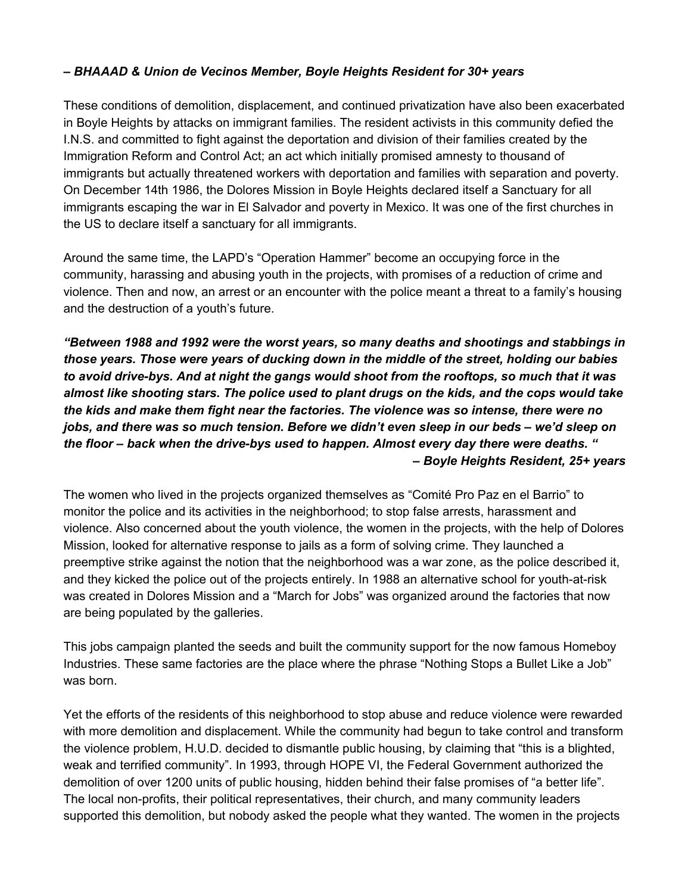## *– BHAAAD & Union de Vecinos Member, Boyle Heights Resident for 30+ years*

These conditions of demolition, displacement, and continued privatization have also been exacerbated in Boyle Heights by attacks on immigrant families. The resident activists in this community defied the I.N.S. and committed to fight against the deportation and division of their families created by the Immigration Reform and Control Act; an act which initially promised amnesty to thousand of immigrants but actually threatened workers with deportation and families with separation and poverty. On December 14th 1986, the Dolores Mission in Boyle Heights declared itself a Sanctuary for all immigrants escaping the war in El Salvador and poverty in Mexico. It was one of the first churches in the US to declare itself a sanctuary for all immigrants.

Around the same time, the LAPD's "Operation Hammer" become an occupying force in the community, harassing and abusing youth in the projects, with promises of a reduction of crime and violence. Then and now, an arrest or an encounter with the police meant a threat to a family's housing and the destruction of a youth's future.

*"Between 1988 and 1992 were the worst years, so many deaths and shootings and stabbings in those years. Those were years of ducking down in the middle of the street, holding our babies to avoid drive-bys. And at night the gangs would shoot from the rooftops, so much that it was almost like shooting stars. The police used to plant drugs on the kids, and the cops would take the kids and make them fight near the factories. The violence was so intense, there were no jobs, and there was so much tension. Before we didn't even sleep in our beds – we'd sleep on the floor – back when the drive-bys used to happen. Almost every day there were deaths. " – Boyle Heights Resident, 25+ years*

The women who lived in the projects organized themselves as "Comité Pro Paz en el Barrio" to monitor the police and its activities in the neighborhood; to stop false arrests, harassment and violence. Also concerned about the youth violence, the women in the projects, with the help of Dolores Mission, looked for alternative response to jails as a form of solving crime. They launched a preemptive strike against the notion that the neighborhood was a war zone, as the police described it, and they kicked the police out of the projects entirely. In 1988 an alternative school for youth-at-risk was created in Dolores Mission and a "March for Jobs" was organized around the factories that now are being populated by the galleries.

This jobs campaign planted the seeds and built the community support for the now famous Homeboy Industries. These same factories are the place where the phrase "Nothing Stops a Bullet Like a Job" was born.

Yet the efforts of the residents of this neighborhood to stop abuse and reduce violence were rewarded with more demolition and displacement. While the community had begun to take control and transform the violence problem, H.U.D. decided to dismantle public housing, by claiming that "this is a blighted, weak and terrified community". In 1993, through HOPE VI, the Federal Government authorized the demolition of over 1200 units of public housing, hidden behind their false promises of "a better life". The local non-profits, their political representatives, their church, and many community leaders supported this demolition, but nobody asked the people what they wanted. The women in the projects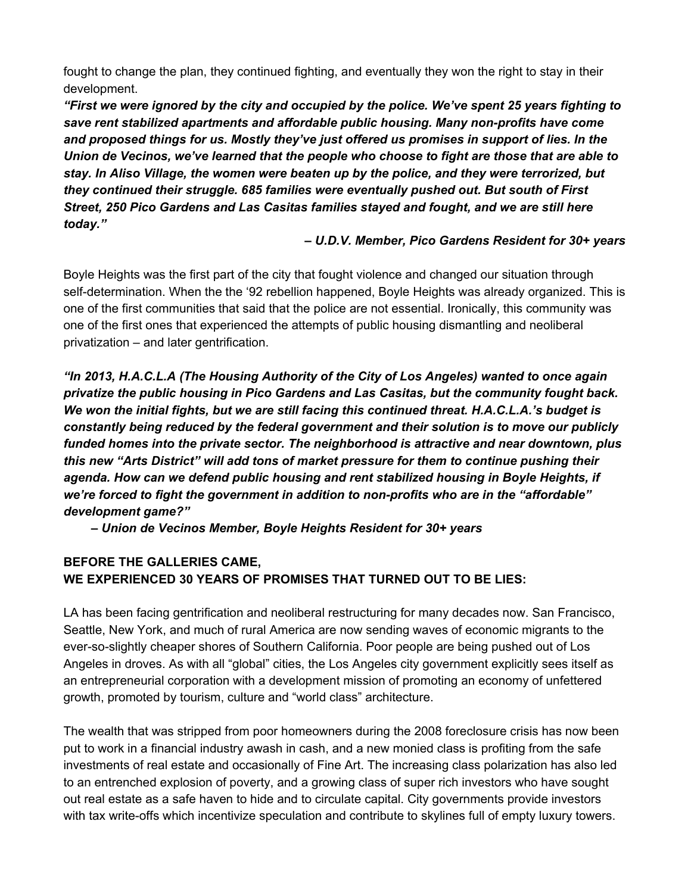fought to change the plan, they continued fighting, and eventually they won the right to stay in their development.

*"First we were ignored by the city and occupied by the police. We've spent 25 years fighting to save rent stabilized apartments and affordable public housing. Many non-profits have come and proposed things for us. Mostly they've just offered us promises in support of lies. In the Union de Vecinos, we've learned that the people who choose to fight are those that are able to stay. In Aliso Village, the women were beaten up by the police, and they were terrorized, but they continued their struggle. 685 families were eventually pushed out. But south of First Street, 250 Pico Gardens and Las Casitas families stayed and fought, and we are still here today."*

## *– U.D.V. Member, Pico Gardens Resident for 30+ years*

Boyle Heights was the first part of the city that fought violence and changed our situation through self-determination. When the the '92 rebellion happened, Boyle Heights was already organized. This is one of the first communities that said that the police are not essential. Ironically, this community was one of the first ones that experienced the attempts of public housing dismantling and neoliberal privatization – and later gentrification.

*"In 2013, H.A.C.L.A (The Housing Authority of the City of Los Angeles) wanted to once again privatize the public housing in Pico Gardens and Las Casitas, but the community fought back. We won the initial fights, but we are still facing this continued threat. H.A.C.L.A.'s budget is constantly being reduced by the federal government and their solution is to move our publicly funded homes into the private sector. The neighborhood is attractive and near downtown, plus this new "Arts District" will add tons of market pressure for them to continue pushing their agenda. How can we defend public housing and rent stabilized housing in Boyle Heights, if we're forced to fight the government in addition to non-profits who are in the "affordable" development game?"*

 *– Union de Vecinos Member, Boyle Heights Resident for 30+ years*

# **BEFORE THE GALLERIES CAME, WE EXPERIENCED 30 YEARS OF PROMISES THAT TURNED OUT TO BE LIES:**

LA has been facing gentrification and neoliberal restructuring for many decades now. San Francisco, Seattle, New York, and much of rural America are now sending waves of economic migrants to the ever-so-slightly cheaper shores of Southern California. Poor people are being pushed out of Los Angeles in droves. As with all "global" cities, the Los Angeles city government explicitly sees itself as an entrepreneurial corporation with a development mission of promoting an economy of unfettered growth, promoted by tourism, culture and "world class" architecture.

The wealth that was stripped from poor homeowners during the 2008 foreclosure crisis has now been put to work in a financial industry awash in cash, and a new monied class is profiting from the safe investments of real estate and occasionally of Fine Art. The increasing class polarization has also led to an entrenched explosion of poverty, and a growing class of super rich investors who have sought out real estate as a safe haven to hide and to circulate capital. City governments provide investors with tax write-offs which incentivize speculation and contribute to skylines full of empty luxury towers.